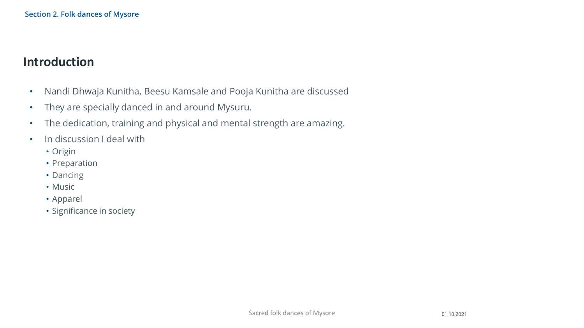### **Introduction**

- Nandi Dhwaja Kunitha, Beesu Kamsale and Pooja Kunitha are discussed
- They are specially danced in and around Mysuru.
- The dedication, training and physical and mental strength are amazing.
- In discussion I deal with
	- Origin
	- Preparation
	- Dancing
	- Music
	- Apparel
	- Significance in society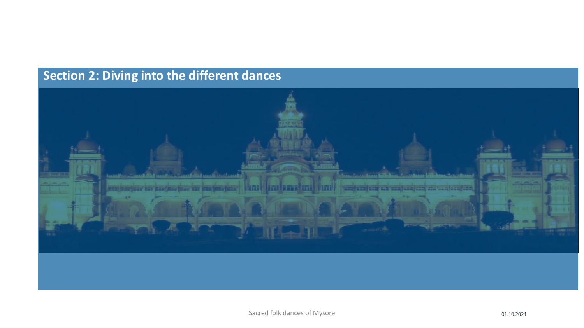# **Section 2: Diving into the different dances**

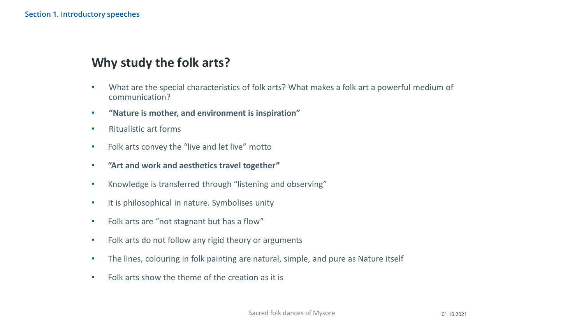# **Why study the folk arts?**

- What are the special characteristics of folk arts? What makes a folk art a powerful medium of communication?
- **"Nature is mother, and environment is inspiration"**
- Ritualistic art forms
- Folk arts convey the "live and let live" motto
- **"Art and work and aesthetics travel together"**
- Knowledge is transferred through "listening and observing"
- It is philosophical in nature. Symbolises unity
- Folk arts are "not stagnant but has a flow"
- Folk arts do not follow any rigid theory or arguments
- The lines, colouring in folk painting are natural, simple, and pure as Nature itself
- Folk arts show the theme of the creation as it is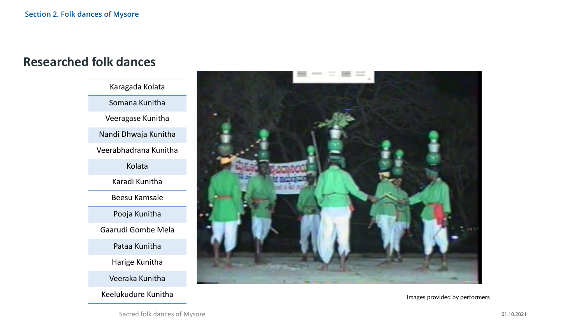#### **Researched folk dances**



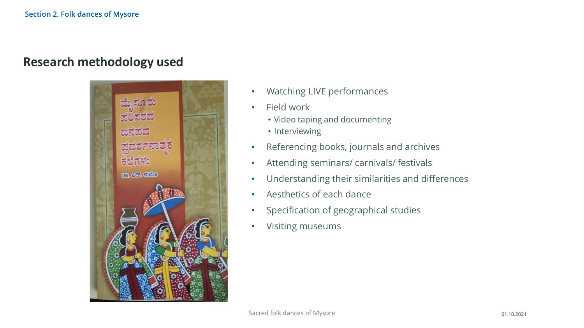#### **Research methodology used**



- Watching LIVE performances
- Field work
	- Video taping and documenting
	- Interviewing
- Referencing books, journals and archives
- Attending seminars/ carnivals/ festivals
- Understanding their similarities and differences
- Aesthetics of each dance
- Specification of geographical studies
- Visiting museums